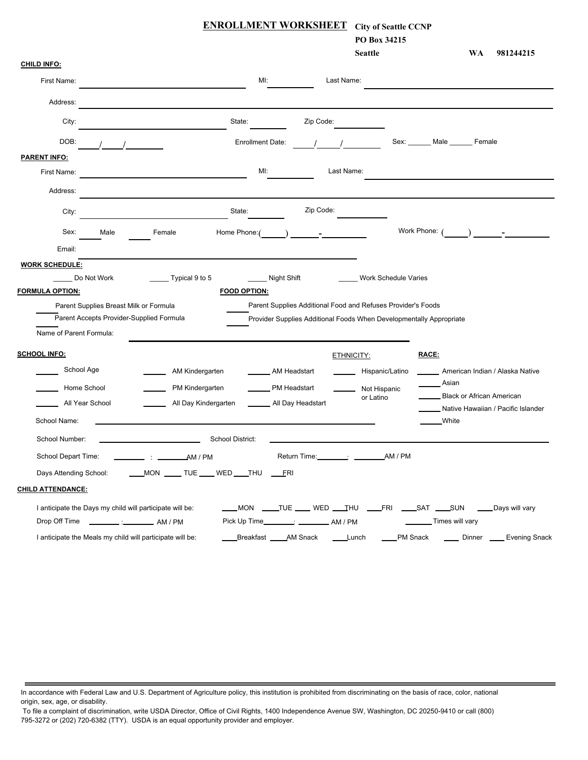| <b>ENROLLMENT WORKSHEET</b><br><b>City of Seattle CCNP</b>                                                                                            |                          |
|-------------------------------------------------------------------------------------------------------------------------------------------------------|--------------------------|
| PO Box 34215<br><b>Seattle</b><br><b>WA</b>                                                                                                           | 981244215                |
| <b>CHILD INFO:</b>                                                                                                                                    |                          |
| MI:<br>Last Name:<br>First Name:                                                                                                                      |                          |
| Address:                                                                                                                                              |                          |
| City:<br>State:<br>Zip Code:                                                                                                                          |                          |
| DOB:<br>Sex:<br>Male<br><b>Enrollment Date:</b><br>Female                                                                                             |                          |
| <b>PARENT INFO:</b>                                                                                                                                   |                          |
| Ml:<br>Last Name:<br>First Name:                                                                                                                      |                          |
| Address:                                                                                                                                              |                          |
| Zip Code:<br>State:<br>City:                                                                                                                          |                          |
| Work Phone:<br>Sex:<br>Home Phone:<br>Male<br>Female                                                                                                  | <u> 1999 - Jan James</u> |
| Email:                                                                                                                                                |                          |
| <b>WORK SCHEDULE:</b>                                                                                                                                 |                          |
| Do Not Work<br>Typical 9 to 5<br>Night Shift<br><b>Work Schedule Varies</b>                                                                           |                          |
| <b>FORMULA OPTION:</b><br><b>FOOD OPTION:</b>                                                                                                         |                          |
| Parent Supplies Additional Food and Refuses Provider's Foods<br>Parent Supplies Breast Milk or Formula                                                |                          |
| Parent Accepts Provider-Supplied Formula<br>Provider Supplies Additional Foods When Developmentally Appropriate                                       |                          |
| Name of Parent Formula:                                                                                                                               |                          |
| <b>SCHOOL INFO:</b><br>RACE:<br>ETHNICITY:                                                                                                            |                          |
| School Age<br>AM Kindergarten<br>AM Headstart<br>American Indian / Alaska Native<br>Hispanic/Latino                                                   |                          |
| Asian<br>Home School<br>PM Kindergarten<br>PM Headstart<br>Not Hispanic                                                                               |                          |
| <b>Black or African American</b><br>or Latino<br>All Day Kindergarten<br>All Day Headstart<br>All Year School                                         |                          |
| Native Hawaiian / Pacific Islander<br>School Name:<br>_White                                                                                          |                          |
| School District:<br>School Number:                                                                                                                    |                          |
| School Depart Time:<br>$\frac{1}{2}$ : $\frac{1}{2}$ AM / PM                                                                                          |                          |
| ____MON _____ TUE ____ WED ____THU _____FRI<br>Days Attending School:                                                                                 |                          |
| <b>CHILD ATTENDANCE:</b>                                                                                                                              |                          |
| ____MON ____TUE ____ WED ___THU ____FRI ____SAT ____SUN ____Days will vary<br>I anticipate the Days my child will participate will be:                |                          |
| Pick Up Time____________: ________________ AM / PM<br>Times will vary<br>Drop Off Time ____________ :_______________ AM / PM                          |                          |
| ____Breakfast _____AM Snack _____Lunch<br>____PM Snack ______ Dinner _____ Evening Snack<br>I anticipate the Meals my child will participate will be: |                          |

In accordance with Federal Law and U.S. Department of Agriculture policy, this institution is prohibited from discriminating on the basis of race, color, national origin, sex, age, or disability.

 To file a complaint of discrimination, write USDA Director, Office of Civil Rights, 1400 Independence Avenue SW, Washington, DC 20250-9410 or call (800) 795-3272 or (202) 720-6382 (TTY). USDA is an equal opportunity provider and employer.